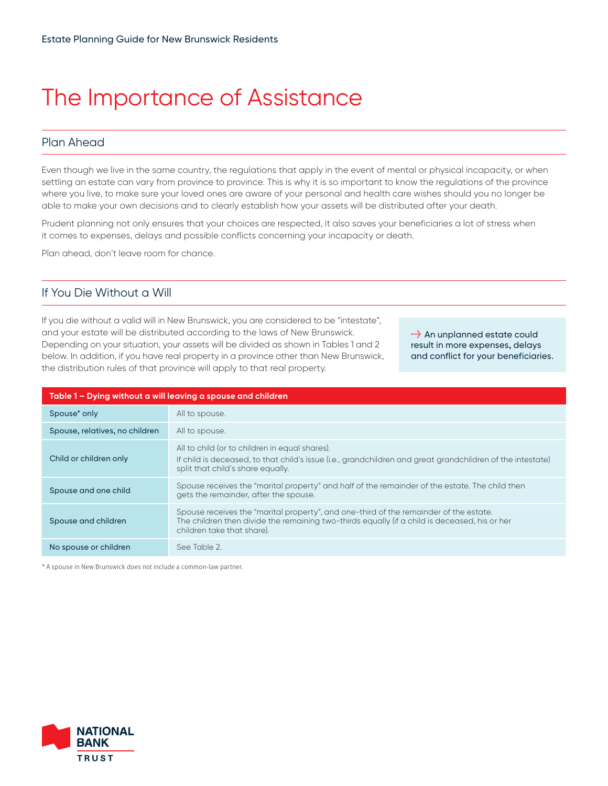# The Importance of Assistance

## Plan Ahead

Even though we live in the same country, the regulations that apply in the event of mental or physical incapacity, or when settling an estate can vary from province to province. This is why it is so important to know the regulations of the province where you live, to make sure your loved ones are aware of your personal and health care wishes should you no longer be able to make your own decisions and to clearly establish how your assets will be distributed after your death.

Prudent planning not only ensures that your choices are respected, it also saves your beneficiaries a lot of stress when it comes to expenses, delays and possible conflicts concerning your incapacity or death.

Plan ahead, don't leave room for chance.

### If You Die Without a Will

If you die without a valid will in New Brunswick, you are considered to be "intestate", and your estate will be distributed according to the laws of New Brunswick. Depending on your situation, your assets will be divided as shown in Tables 1 and 2 below. In addition, if you have real property in a province other than New Brunswick, the distribution rules of that province will apply to that real property.

**<sup>1</sup>** An unplanned estate could result in more expenses, delays and conflict for your beneficiaries.

| Table 1 – Dying without a will leaving a spouse and children |                                                                                                                                                                                                                      |  |
|--------------------------------------------------------------|----------------------------------------------------------------------------------------------------------------------------------------------------------------------------------------------------------------------|--|
| Spouse* only                                                 | All to spouse.                                                                                                                                                                                                       |  |
| Spouse, relatives, no children                               | All to spouse.                                                                                                                                                                                                       |  |
| Child or children only                                       | All to child (or to children in equal shares).<br>If child is deceased, to that child's issue (i.e., grandchildren and great grandchildren of the intestate)<br>split that child's share equally.                    |  |
| Spouse and one child                                         | Spouse receives the "marital property" and half of the remainder of the estate. The child then<br>gets the remainder, after the spouse.                                                                              |  |
| Spouse and children                                          | Spouse receives the "marital property", and one-third of the remainder of the estate.<br>The children then divide the remaining two-thirds equally (if a child is deceased, his or her<br>children take that share). |  |
| No spouse or children                                        | See Table 2.                                                                                                                                                                                                         |  |

\* A spouse in New Brunswick does not include a common-law partner.

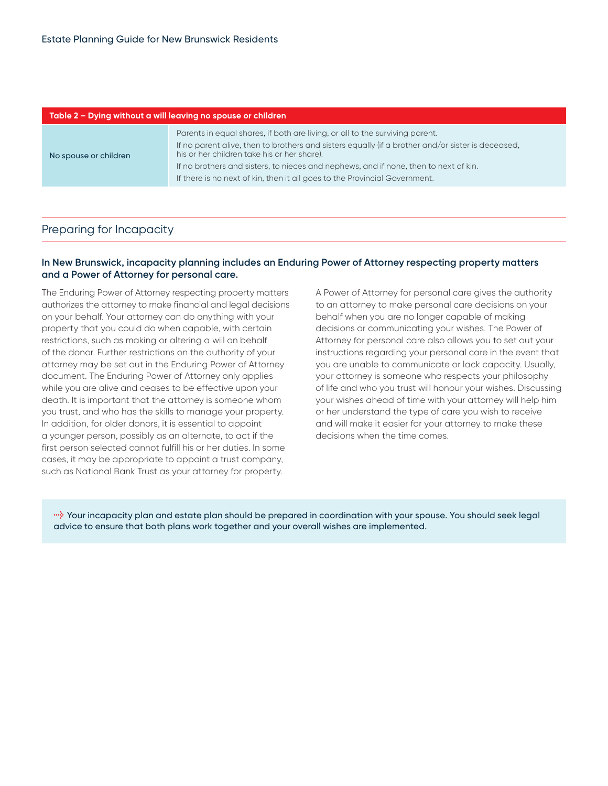| Parents in equal shares, if both are living, or all to the surviving parent.<br>If no parent alive, then to brothers and sisters equally (if a brother and/or sister is deceased,<br>his or her children take his or her share).<br>No spouse or children<br>If no brothers and sisters, to nieces and nephews, and if none, then to next of kin.<br>If there is no next of kin, then it all goes to the Provincial Government. | Table 2 – Dying without a will leaving no spouse or children |  |  |
|---------------------------------------------------------------------------------------------------------------------------------------------------------------------------------------------------------------------------------------------------------------------------------------------------------------------------------------------------------------------------------------------------------------------------------|--------------------------------------------------------------|--|--|
|                                                                                                                                                                                                                                                                                                                                                                                                                                 |                                                              |  |  |

#### Preparing for Incapacity

#### **In New Brunswick, incapacity planning includes an Enduring Power of Attorney respecting property matters and a Power of Attorney for personal care.**

The Enduring Power of Attorney respecting property matters authorizes the attorney to make financial and legal decisions on your behalf. Your attorney can do anything with your property that you could do when capable, with certain restrictions, such as making or altering a will on behalf of the donor. Further restrictions on the authority of your attorney may be set out in the Enduring Power of Attorney document. The Enduring Power of Attorney only applies while you are alive and ceases to be effective upon your death. It is important that the attorney is someone whom you trust, and who has the skills to manage your property. In addition, for older donors, it is essential to appoint a younger person, possibly as an alternate, to act if the first person selected cannot fulfill his or her duties. In some cases, it may be appropriate to appoint a trust company, such as National Bank Trust as your attorney for property.

A Power of Attorney for personal care gives the authority to an attorney to make personal care decisions on your behalf when you are no longer capable of making decisions or communicating your wishes. The Power of Attorney for personal care also allows you to set out your instructions regarding your personal care in the event that you are unable to communicate or lack capacity. Usually, your attorney is someone who respects your philosophy of life and who you trust will honour your wishes. Discussing your wishes ahead of time with your attorney will help him or her understand the type of care you wish to receive and will make it easier for your attorney to make these decisions when the time comes.

**l** Your incapacity plan and estate plan should be prepared in coordination with your spouse. You should seek legal advice to ensure that both plans work together and your overall wishes are implemented.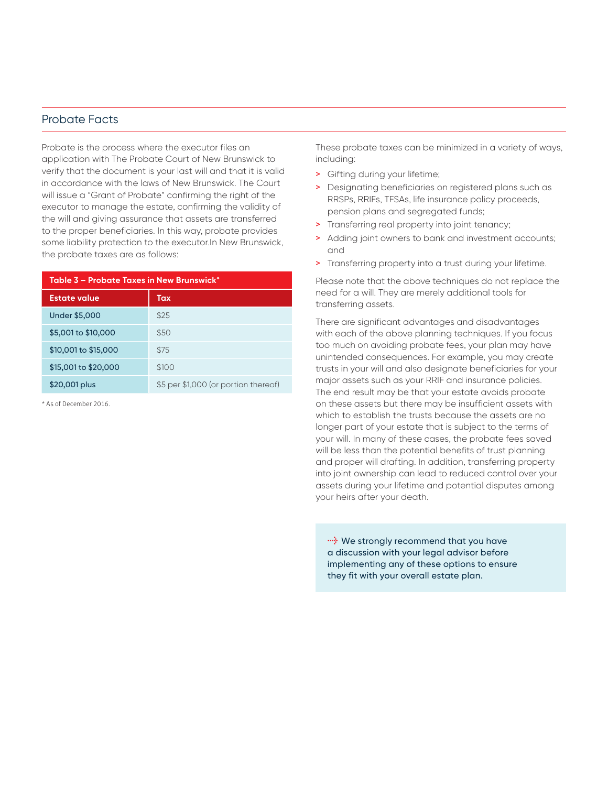#### Probate Facts

Probate is the process where the executor files an application with The Probate Court of New Brunswick to verify that the document is your last will and that it is valid in accordance with the laws of New Brunswick. The Court will issue a "Grant of Probate" confirming the right of the executor to manage the estate, confirming the validity of the will and giving assurance that assets are transferred to the proper beneficiaries. In this way, probate provides some liability protection to the executor.In New Brunswick, the probate taxes are as follows:

| Table 3 – Probate Taxes in New Brunswick* |                                      |  |
|-------------------------------------------|--------------------------------------|--|
| <b>Estate value</b>                       | Tax                                  |  |
| <b>Under \$5,000</b>                      | \$25                                 |  |
| \$5,001 to \$10,000                       | \$50                                 |  |
| \$10,001 to \$15,000                      | \$75                                 |  |
| \$15,001 to \$20,000                      | \$100                                |  |
| \$20,001 plus                             | \$5 per \$1,000 (or portion thereof) |  |
|                                           |                                      |  |

\* As of December 2016.

These probate taxes can be minimized in a variety of ways, including:

- > Gifting during your lifetime;
- > Designating beneficiaries on registered plans such as RRSPs, RRIFs, TFSAs, life insurance policy proceeds, pension plans and segregated funds;
- > Transferring real property into joint tenancy;
- > Adding joint owners to bank and investment accounts; and
- > Transferring property into a trust during your lifetime.

Please note that the above techniques do not replace the need for a will. They are merely additional tools for transferring assets.

There are significant advantages and disadvantages with each of the above planning techniques. If you focus too much on avoiding probate fees, your plan may have unintended consequences. For example, you may create trusts in your will and also designate beneficiaries for your major assets such as your RRIF and insurance policies. The end result may be that your estate avoids probate on these assets but there may be insufficient assets with which to establish the trusts because the assets are no longer part of your estate that is subject to the terms of your will. In many of these cases, the probate fees saved will be less than the potential benefits of trust planning and proper will drafting. In addition, transferring property into joint ownership can lead to reduced control over your assets during your lifetime and potential disputes among your heirs after your death.

*l* We strongly recommend that you have a discussion with your legal advisor before implementing any of these options to ensure they fit with your overall estate plan.